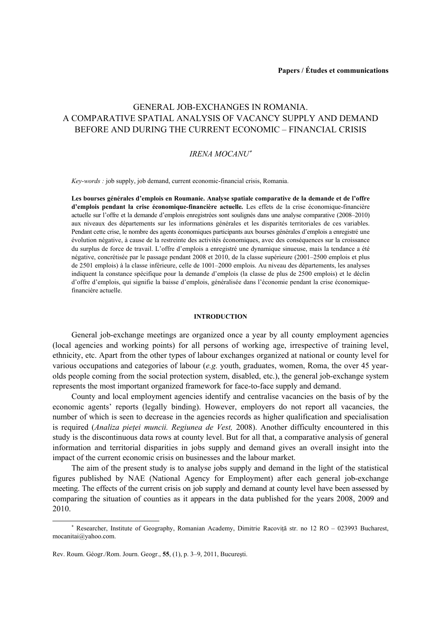# GENERAL JOB-EXCHANGES IN ROMANIA. A COMPARATIVE SPATIAL ANALYSIS OF VACANCY SUPPLY AND DEMAND BEFORE AND DURING THE CURRENT ECONOMIC – FINANCIAL CRISIS

## *IRENA MOCANU*<sup>∗</sup>

*Key-words :* job supply, job demand, current economic-financial crisis, Romania.

**Les bourses générales d'emplois en Roumanie. Analyse spatiale comparative de la demande et de l'offre d'emplois pendant la crise économique-financière actuelle***.* Les effets de la crise économique-financière actuelle sur l'offre et la demande d'emplois enregistrées sont soulignés dans une analyse comparative (2008–2010) aux niveaux des départements sur les informations générales et les disparités territoriales de ces variables. Pendant cette crise, le nombre des agents économiques participants aux bourses générales d'emplois a enregistré une évolution négative, à cause de la restreinte des activités économiques, avec des conséquences sur la croissance du surplus de force de travail. L'offre d'emplois a enregistré une dynamique sinueuse, mais la tendance a été négative, concrétisée par le passage pendant 2008 et 2010, de la classe supérieure (2001–2500 emplois et plus de 2501 emplois) à la classe inférieure, celle de 1001–2000 emplois. Au niveau des départements, les analyses indiquent la constance spécifique pour la demande d'emplois (la classe de plus de 2500 emplois) et le déclin d'offre d'emplois, qui signifie la baisse d'emplois, généralisée dans l'économie pendant la crise économiquefinancière actuelle.

## **INTRODUCTION**

General job-exchange meetings are organized once a year by all county employment agencies (local agencies and working points) for all persons of working age, irrespective of training level, ethnicity, etc. Apart from the other types of labour exchanges organized at national or county level for various occupations and categories of labour (*e.g.* youth, graduates, women, Roma, the over 45 yearolds people coming from the social protection system, disabled, etc.), the general job-exchange system represents the most important organized framework for face-to-face supply and demand.

County and local employment agencies identify and centralise vacancies on the basis of by the economic agents' reports (legally binding). However, employers do not report all vacancies, the number of which is seen to decrease in the agencies records as higher qualification and specialisation is required (*Analiza pieţei muncii. Regiunea de Vest,* 2008). Another difficulty encountered in this study is the discontinuous data rows at county level. But for all that, a comparative analysis of general information and territorial disparities in jobs supply and demand gives an overall insight into the impact of the current economic crisis on businesses and the labour market.

The aim of the present study is to analyse jobs supply and demand in the light of the statistical figures published by NAE (National Agency for Employment) after each general job-exchange meeting. The effects of the current crisis on job supply and demand at county level have been assessed by comparing the situation of counties as it appears in the data published for the years 2008, 2009 and 2010.

 $\overline{a}$ 

<sup>∗</sup> Researcher, Institute of Geography, Romanian Academy, Dimitrie Racoviţă str. no 12 RO – 023993 Bucharest, mocanitai@yahoo.com.

Rev. Roum. Géogr./Rom. Journ. Geogr., **55**, (1), p. 3–9, 2011, Bucureşti.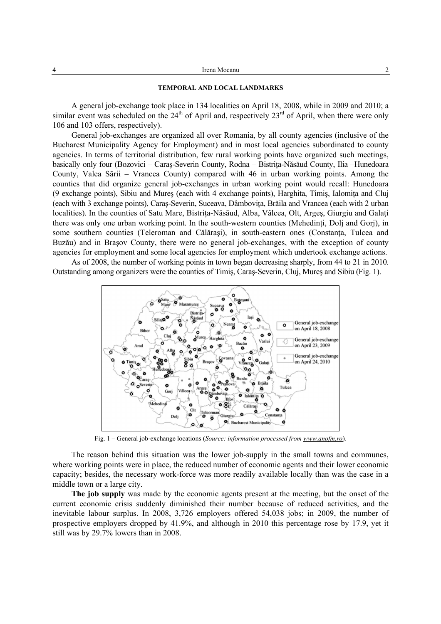| Irena Mocanu<br>. |  |
|-------------------|--|
|-------------------|--|

#### **TEMPORAL AND LOCAL LANDMARKS**

A general job-exchange took place in 134 localities on April 18, 2008, while in 2009 and 2010; a similar event was scheduled on the  $24<sup>th</sup>$  of April and, respectively  $23<sup>rd</sup>$  of April, when there were only 106 and 103 offers, respectively).

General job-exchanges are organized all over Romania, by all county agencies (inclusive of the Bucharest Municipality Agency for Employment) and in most local agencies subordinated to county agencies. In terms of territorial distribution, few rural working points have organized such meetings, basically only four (Bozovici – Caras-Severin County, Rodna – Bistrita-Năsăud County, Ilia –Hunedoara County, Valea Sării – Vrancea County) compared with 46 in urban working points. Among the counties that did organize general job-exchanges in urban working point would recall: Hunedoara (9 exchange points), Sibiu and Mures (each with 4 exchange points), Harghita, Timis, Ialomita and Clui (each with 3 exchange points), Caras-Severin, Suceava, Dâmbovita, Brăila and Vrancea (each with 2 urban localities). In the counties of Satu Mare, Bistriţa-Năsăud, Alba, Vâlcea, Olt, Argeş, Giurgiu and Galaţi there was only one urban working point. In the south-western counties (Mehedinți, Dolj and Gorj), in some southern counties (Teleroman and Călărași), in south-eastern ones (Constanta, Tulcea and Buzău) and in Braşov County, there were no general job-exchanges, with the exception of county agencies for employment and some local agencies for employment which undertook exchange actions.

As of 2008, the number of working points in town began decreasing sharply, from 44 to 21 in 2010. Outstanding among organizers were the counties of Timiş, Caraş-Severin, Cluj, Mureş and Sibiu (Fig. 1).



Fig. 1 – General job-exchange locations (*Source: information processed from www.anofm.ro*).

The reason behind this situation was the lower job-supply in the small towns and communes, where working points were in place, the reduced number of economic agents and their lower economic capacity; besides, the necessary work-force was more readily available locally than was the case in a middle town or a large city.

**The job supply** was made by the economic agents present at the meeting, but the onset of the current economic crisis suddenly diminished their number because of reduced activities, and the inevitable labour surplus. In 2008, 3,726 employers offered 54,038 jobs; in 2009, the number of prospective employers dropped by 41.9%, and although in 2010 this percentage rose by 17.9, yet it still was by 29.7% lowers than in 2008.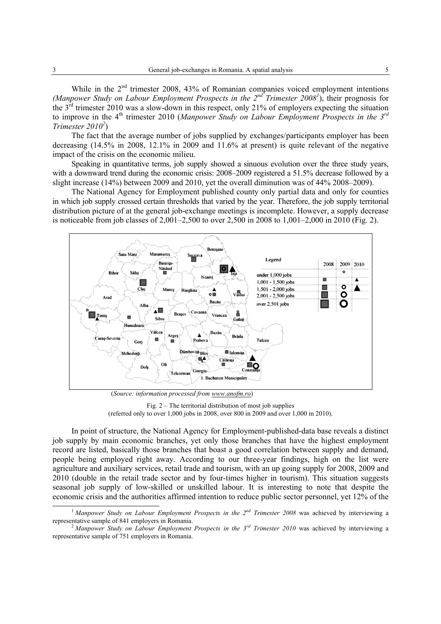While in the  $2<sup>nd</sup>$  trimester 2008, 43% of Romanian companies voiced employment intentions (Manpower Study on Labour Employment Prospects in the 2<sup>nd</sup> Trimester 2008<sup>1</sup>), their prognosis for the 3rd trimester 2010 was a slow-down in this respect, only 21% of employers expecting the situation to improve in the 4<sup>th</sup> trimester 2010 (*Manpower Study on Labour Employment Prospects in the 3<sup>rd</sup> Trimester 20102* )

The fact that the average number of jobs supplied by exchanges/participants employer has been decreasing (14.5% in 2008, 12.1% in 2009 and 11.6% at present) is quite relevant of the negative impact of the crisis on the economic milieu.

Speaking in quantitative terms, job supply showed a sinuous evolution over the three study years, with a downward trend during the economic crisis: 2008–2009 registered a 51.5% decrease followed by a slight increase (14%) between 2009 and 2010, yet the overall diminution was of 44% 2008–2009).

The National Agency for Employment published county only partial data and only for counties in which job supply crossed certain thresholds that varied by the year. Therefore, the job supply territorial distribution picture of at the general job-exchange meetings is incomplete. However, a supply decrease is noticeable from job classes of 2,001–2,500 to over 2,500 in 2008 to 1,001–2,000 in 2010 (Fig. 2).



(*Source: information processed from www.anofm.ro*)

Fig. 2 – The territorial distribution of most job supplies (referred only to over 1,000 jobs in 2008, over 800 in 2009 and over 1,000 in 2010).

In point of structure, the National Agency for Employment-published-data base reveals a distinct job supply by main economic branches, yet only those branches that have the highest employment record are listed, basically those branches that boast a good correlation between supply and demand, people being employed right away. According to our three-year findings, high on the list were agriculture and auxiliary services, retail trade and tourism, with an up going supply for 2008, 2009 and 2010 (double in the retail trade sector and by four-times higher in tourism). This situation suggests seasonal job supply of low-skilled or unskilled labour. It is interesting to note that despite the economic crisis and the authorities affirmed intention to reduce public sector personnel, yet 12% of the

<sup>&</sup>lt;sup>1</sup> Manpower Study on Labour Employment Prospects in the 2<sup>nd</sup> Trimester 2008 was achieved by interviewing a representative sample of 841 employers in Romania. 2 *Manpower Study on Labour Employment Prospects in the 3rd Trimester 2010* was achieved by interviewing a

representative sample of 751 employers in Romania.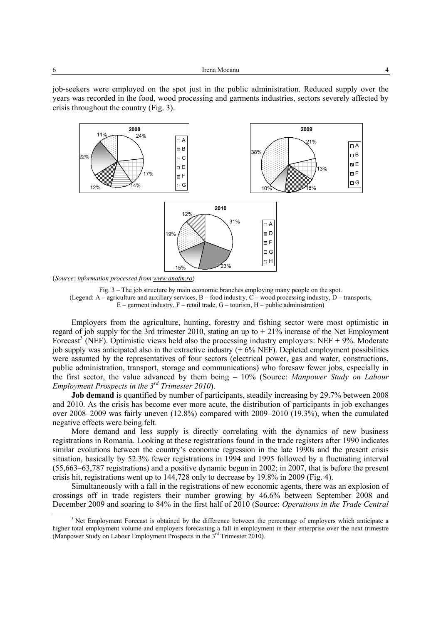job-seekers were employed on the spot just in the public administration. Reduced supply over the years was recorded in the food, wood processing and garments industries, sectors severely affected by crisis throughout the country (Fig. 3).



(*Source: information processed from www.anofm.ro*)



Employers from the agriculture, hunting, forestry and fishing sector were most optimistic in regard of job supply for the 3rd trimester 2010, stating an up to  $+21\%$  increase of the Net Employment Forecast<sup>3</sup> (NEF). Optimistic views held also the processing industry employers: NEF + 9%. Moderate job supply was anticipated also in the extractive industry  $(+ 6\% \text{ NEF})$ . Depleted employment possibilities were assumed by the representatives of four sectors (electrical power, gas and water, constructions, public administration, transport, storage and communications) who foresaw fewer jobs, especially in the first sector, the value advanced by them being – 10% (Source: *Manpower Study on Labour Employment Prospects in the 3rd Trimester 2010*).

**Job demand** is quantified by number of participants, steadily increasing by 29.7% between 2008 and 2010. As the crisis has become ever more acute, the distribution of participants in job exchanges over 2008–2009 was fairly uneven (12.8%) compared with 2009–2010 (19.3%), when the cumulated negative effects were being felt.

More demand and less supply is directly correlating with the dynamics of new business registrations in Romania. Looking at these registrations found in the trade registers after 1990 indicates similar evolutions between the country's economic regression in the late 1990s and the present crisis situation, basically by 52.3% fewer registrations in 1994 and 1995 followed by a fluctuating interval (55,663–63,787 registrations) and a positive dynamic begun in 2002; in 2007, that is before the present crisis hit, registrations went up to 144,728 only to decrease by 19.8% in 2009 (Fig. 4).

Simultaneously with a fall in the registrations of new economic agents, there was an explosion of crossings off in trade registers their number growing by 46.6% between September 2008 and December 2009 and soaring to 84% in the first half of 2010 (Source: *Operations in the Trade Central* 

 $\overline{\phantom{a}}$  $3$  Net Employment Forecast is obtained by the difference between the percentage of employers which anticipate a higher total employment volume and employers forecasting a fall in employment in their enterprise over the next trimestre (Manpower Study on Labour Employment Prospects in the  $3^{rd}$  Trimester 2010).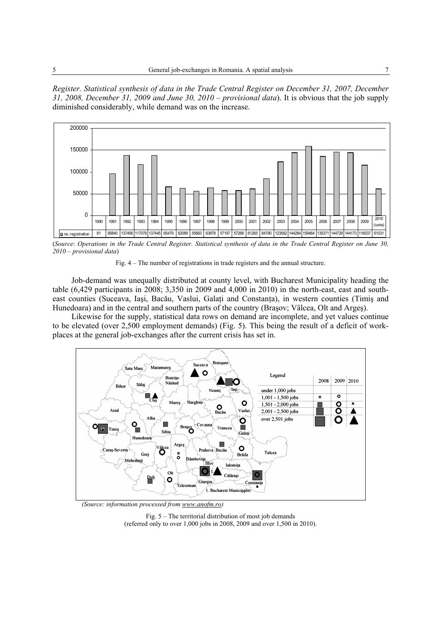*Register. Statistical synthesis of data in the Trade Central Register on December 31, 2007, December 31, 2008, December 31, 2009 and June 30, 2010 – provisional data*). It is obvious that the job supply diminished considerably, while demand was on the increase.



(*Source*: *Operations in the Trade Central Register. Statistical synthesis of data in the Trade Central Register on June 30, 2010 – provisional data*)



Job-demand was unequally distributed at county level, with Bucharest Municipality heading the table (6,429 participants in 2008; 3,350 in 2009 and 4,000 in 2010) in the north-east, east and southeast counties (Suceava, Iaşi, Bacău, Vaslui, Galaţi and Constanţa), in western counties (Timiş and Hunedoara) and in the central and southern parts of the country (Braşov; Vâlcea, Olt and Argeş).

Likewise for the supply, statistical data rows on demand are incomplete, and yet values continue to be elevated (over 2,500 employment demands) (Fig. 5). This being the result of a deficit of workplaces at the general job-exchanges after the current crisis has set in.



 *(Source: information processed from www.anofm.ro)* 

Fig. 5 – The territorial distribution of most job demands (referred only to over 1,000 jobs in 2008, 2009 and over 1,500 in 2010).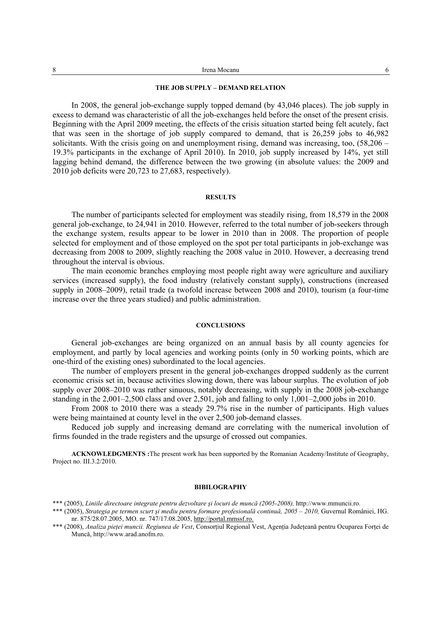| Irena Mocanu |  |
|--------------|--|
| .            |  |

## **THE JOB SUPPLY – DEMAND RELATION**

In 2008, the general job-exchange supply topped demand (by 43,046 places). The job supply in excess to demand was characteristic of all the job-exchanges held before the onset of the present crisis. Beginning with the April 2009 meeting, the effects of the crisis situation started being felt acutely, fact that was seen in the shortage of job supply compared to demand, that is 26,259 jobs to 46,982 solicitants. With the crisis going on and unemployment rising, demand was increasing, too, (58,206 – 19.3% participants in the exchange of April 2010). In 2010, job supply increased by 14%, yet still lagging behind demand, the difference between the two growing (in absolute values: the 2009 and 2010 job deficits were 20,723 to 27,683, respectively).

#### **RESULTS**

The number of participants selected for employment was steadily rising, from 18,579 in the 2008 general job-exchange, to 24,941 in 2010. However, referred to the total number of job-seekers through the exchange system, results appear to be lower in 2010 than in 2008. The proportion of people selected for employment and of those employed on the spot per total participants in job-exchange was decreasing from 2008 to 2009, slightly reaching the 2008 value in 2010. However, a decreasing trend throughout the interval is obvious.

The main economic branches employing most people right away were agriculture and auxiliary services (increased supply), the food industry (relatively constant supply), constructions (increased supply in 2008–2009), retail trade (a twofold increase between 2008 and 2010), tourism (a four-time increase over the three years studied) and public administration.

#### **CONCLUSIONS**

General job-exchanges are being organized on an annual basis by all county agencies for employment, and partly by local agencies and working points (only in 50 working points, which are one-third of the existing ones) subordinated to the local agencies.

The number of employers present in the general job-exchanges dropped suddenly as the current economic crisis set in, because activities slowing down, there was labour surplus. The evolution of job supply over 2008–2010 was rather sinuous, notably decreasing, with supply in the 2008 job-exchange standing in the 2,001–2,500 class and over 2,501, job and falling to only 1,001–2,000 jobs in 2010.

From 2008 to 2010 there was a steady 29.7% rise in the number of participants. High values were being maintained at county level in the over 2,500 job-demand classes.

Reduced job supply and increasing demand are correlating with the numerical involution of firms founded in the trade registers and the upsurge of crossed out companies.

**ACKNOWLEDGMENTS :**The present work has been supported by the Romanian Academy/Institute of Geography, Project no. III.3.2/2010.

## **BIBILOGRAPHY**

\*\*\* (2005), *Liniile directoare integrate pentru dezvoltare şi locuri de muncă (2005-2008),* http://www.mmuncii.ro.

- \*\*\* (2005), *Strategia pe termen scurt și mediu pentru formare profesională continuă, 2005 2010*, Guvernul României, HG. nr. 875/28.07.2005, MO. nr. 747/17.08.2005, http://portal.mmssf.ro.
- \*\*\* (2008), *Analiza pieţei muncii. Regiunea de Vest*, Consorţiul Regional Vest, Agenţia Judeţeană pentru Ocuparea Forţei de Muncă, http://www.arad.anofm.ro.